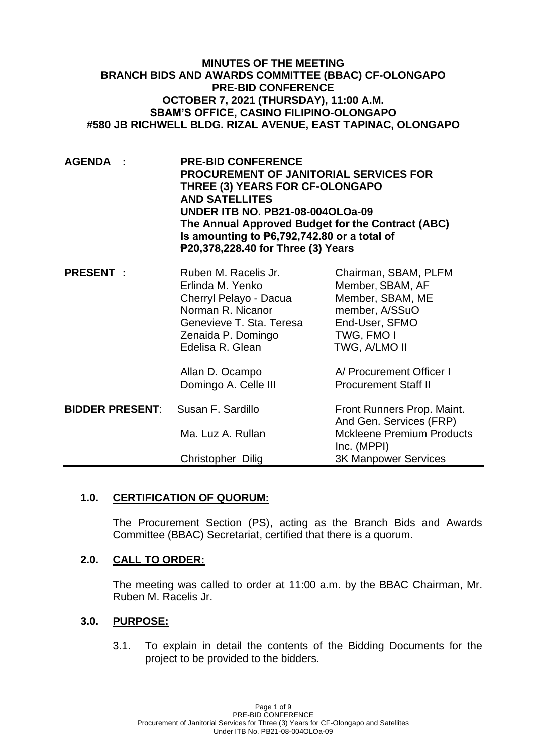| <b>MINUTES OF THE MEETING</b>                               |
|-------------------------------------------------------------|
| <b>BRANCH BIDS AND AWARDS COMMITTEE (BBAC) CF-OLONGAPO</b>  |
| <b>PRE-BID CONFERENCE</b>                                   |
| <b>OCTOBER 7, 2021 (THURSDAY), 11:00 A.M.</b>               |
| <b>SBAM'S OFFICE, CASINO FILIPINO-OLONGAPO</b>              |
| #580 JB RICHWELL BLDG. RIZAL AVENUE, EAST TAPINAC, OLONGAPO |

**AGENDA : PRE-BID CONFERENCE PROCUREMENT OF JANITORIAL SERVICES FOR THREE (3) YEARS FOR CF-OLONGAPO AND SATELLITES UNDER ITB NO. PB21-08-004OLOa-09 The Annual Approved Budget for the Contract (ABC) Is amounting to ₱6,792,742.80 or a total of ₱20,378,228.40 for Three (3) Years**

| <b>PRESENT:</b>        | Ruben M. Racelis Jr.<br>Erlinda M. Yenko<br>Cherryl Pelayo - Dacua<br>Norman R. Nicanor<br>Genevieve T. Sta. Teresa<br>Zenaida P. Domingo<br>Edelisa R. Glean | Chairman, SBAM, PLFM<br>Member, SBAM, AF<br>Member, SBAM, ME<br>member, A/SSuO<br>End-User, SFMO<br>TWG, FMO I<br>TWG, A/LMO II |
|------------------------|---------------------------------------------------------------------------------------------------------------------------------------------------------------|---------------------------------------------------------------------------------------------------------------------------------|
|                        | Allan D. Ocampo<br>Domingo A. Celle III                                                                                                                       | A/ Procurement Officer I<br><b>Procurement Staff II</b>                                                                         |
| <b>BIDDER PRESENT:</b> | Susan F. Sardillo                                                                                                                                             | Front Runners Prop. Maint.<br>And Gen. Services (FRP)                                                                           |
|                        | Ma. Luz A. Rullan                                                                                                                                             | <b>Mckleene Premium Products</b><br>Inc. (MPPI)                                                                                 |
|                        | Christopher Dilig                                                                                                                                             | <b>3K Manpower Services</b>                                                                                                     |

## **1.0. CERTIFICATION OF QUORUM:**

The Procurement Section (PS), acting as the Branch Bids and Awards Committee (BBAC) Secretariat, certified that there is a quorum.

## **2.0. CALL TO ORDER:**

The meeting was called to order at 11:00 a.m. by the BBAC Chairman, Mr. Ruben M. Racelis Jr.

## **3.0. PURPOSE:**

3.1. To explain in detail the contents of the Bidding Documents for the project to be provided to the bidders.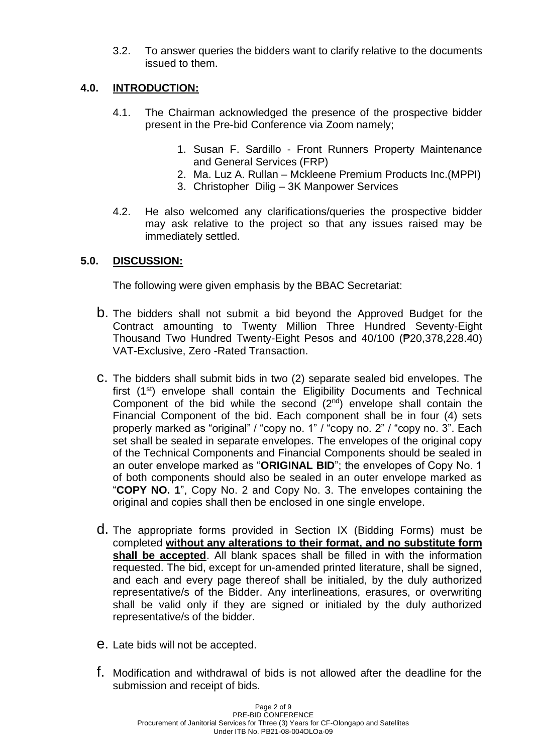3.2. To answer queries the bidders want to clarify relative to the documents issued to them.

# **4.0. INTRODUCTION:**

- 4.1. The Chairman acknowledged the presence of the prospective bidder present in the Pre-bid Conference via Zoom namely;
	- 1. Susan F. Sardillo Front Runners Property Maintenance and General Services (FRP)
	- 2. Ma. Luz A. Rullan Mckleene Premium Products Inc.(MPPI)
	- 3. Christopher Dilig 3K Manpower Services
- 4.2. He also welcomed any clarifications/queries the prospective bidder may ask relative to the project so that any issues raised may be immediately settled.

## **5.0. DISCUSSION:**

The following were given emphasis by the BBAC Secretariat:

- b. The bidders shall not submit a bid beyond the Approved Budget for the Contract amounting to Twenty Million Three Hundred Seventy-Eight Thousand Two Hundred Twenty-Eight Pesos and 40/100 (₱20,378,228.40) VAT-Exclusive, Zero -Rated Transaction.
- c. The bidders shall submit bids in two (2) separate sealed bid envelopes. The first (1st) envelope shall contain the Eligibility Documents and Technical Component of the bid while the second  $(2^{nd})$  envelope shall contain the Financial Component of the bid. Each component shall be in four (4) sets properly marked as "original" / "copy no. 1" / "copy no. 2" / "copy no. 3". Each set shall be sealed in separate envelopes. The envelopes of the original copy of the Technical Components and Financial Components should be sealed in an outer envelope marked as "**ORIGINAL BID**"; the envelopes of Copy No. 1 of both components should also be sealed in an outer envelope marked as "**COPY NO. 1**", Copy No. 2 and Copy No. 3. The envelopes containing the original and copies shall then be enclosed in one single envelope.
- d. The appropriate forms provided in Section IX (Bidding Forms) must be completed **without any alterations to their format, and no substitute form shall be accepted**. All blank spaces shall be filled in with the information requested. The bid, except for un-amended printed literature, shall be signed, and each and every page thereof shall be initialed, by the duly authorized representative/s of the Bidder. Any interlineations, erasures, or overwriting shall be valid only if they are signed or initialed by the duly authorized representative/s of the bidder.
- e. Late bids will not be accepted.
- f. Modification and withdrawal of bids is not allowed after the deadline for the submission and receipt of bids.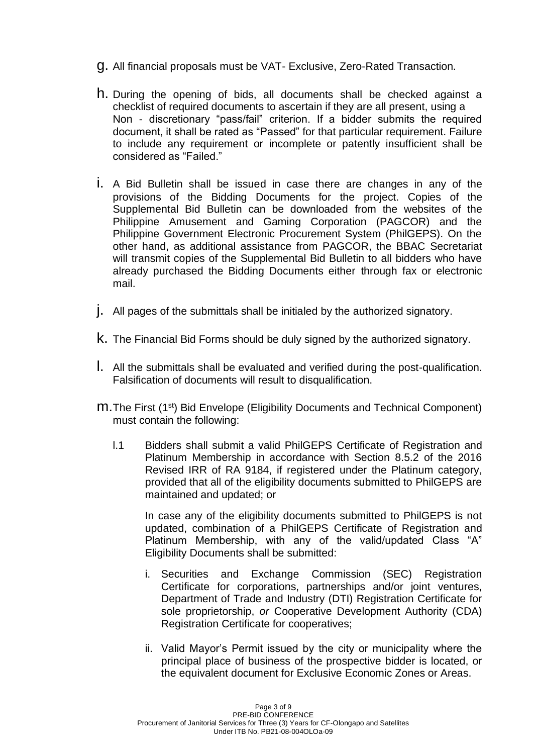- g. All financial proposals must be VAT- Exclusive, Zero-Rated Transaction.
- h. During the opening of bids, all documents shall be checked against a checklist of required documents to ascertain if they are all present, using a Non - discretionary "pass/fail" criterion. If a bidder submits the required document, it shall be rated as "Passed" for that particular requirement. Failure to include any requirement or incomplete or patently insufficient shall be considered as "Failed."
- i. A Bid Bulletin shall be issued in case there are changes in any of the provisions of the Bidding Documents for the project. Copies of the Supplemental Bid Bulletin can be downloaded from the websites of the Philippine Amusement and Gaming Corporation (PAGCOR) and the Philippine Government Electronic Procurement System (PhilGEPS). On the other hand, as additional assistance from PAGCOR, the BBAC Secretariat will transmit copies of the Supplemental Bid Bulletin to all bidders who have already purchased the Bidding Documents either through fax or electronic mail.
- j. All pages of the submittals shall be initialed by the authorized signatory.
- k. The Financial Bid Forms should be duly signed by the authorized signatory.
- l. All the submittals shall be evaluated and verified during the post-qualification. Falsification of documents will result to disqualification.
- m.The First (1st) Bid Envelope (Eligibility Documents and Technical Component) must contain the following:
	- l.1 Bidders shall submit a valid PhilGEPS Certificate of Registration and Platinum Membership in accordance with Section 8.5.2 of the 2016 Revised IRR of RA 9184, if registered under the Platinum category, provided that all of the eligibility documents submitted to PhilGEPS are maintained and updated; or

In case any of the eligibility documents submitted to PhilGEPS is not updated, combination of a PhilGEPS Certificate of Registration and Platinum Membership, with any of the valid/updated Class "A" Eligibility Documents shall be submitted:

- i. Securities and Exchange Commission (SEC) Registration Certificate for corporations, partnerships and/or joint ventures, Department of Trade and Industry (DTI) Registration Certificate for sole proprietorship, *or* Cooperative Development Authority (CDA) Registration Certificate for cooperatives;
- ii. Valid Mayor's Permit issued by the city or municipality where the principal place of business of the prospective bidder is located, or the equivalent document for Exclusive Economic Zones or Areas.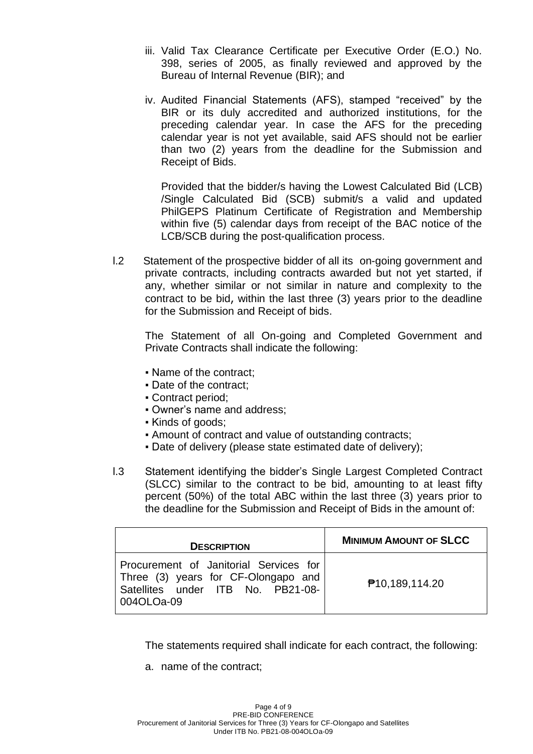- iii. Valid Tax Clearance Certificate per Executive Order (E.O.) No. 398, series of 2005, as finally reviewed and approved by the Bureau of Internal Revenue (BIR); and
- iv. Audited Financial Statements (AFS), stamped "received" by the BIR or its duly accredited and authorized institutions, for the preceding calendar year. In case the AFS for the preceding calendar year is not yet available, said AFS should not be earlier than two (2) years from the deadline for the Submission and Receipt of Bids.

Provided that the bidder/s having the Lowest Calculated Bid (LCB) /Single Calculated Bid (SCB) submit/s a valid and updated PhilGEPS Platinum Certificate of Registration and Membership within five (5) calendar days from receipt of the BAC notice of the LCB/SCB during the post-qualification process.

l.2 Statement of the prospective bidder of all its on-going government and private contracts, including contracts awarded but not yet started, if any, whether similar or not similar in nature and complexity to the contract to be bid, within the last three (3) years prior to the deadline for the Submission and Receipt of bids.

The Statement of all On-going and Completed Government and Private Contracts shall indicate the following:

- Name of the contract;
- Date of the contract;
- Contract period;
- Owner's name and address;
- Kinds of goods;
- Amount of contract and value of outstanding contracts;
- Date of delivery (please state estimated date of delivery);
- l.3 Statement identifying the bidder's Single Largest Completed Contract (SLCC) similar to the contract to be bid, amounting to at least fifty percent (50%) of the total ABC within the last three (3) years prior to the deadline for the Submission and Receipt of Bids in the amount of:

| <b>DESCRIPTION</b>                                                                                                               | <b>MINIMUM AMOUNT OF SLCC</b> |
|----------------------------------------------------------------------------------------------------------------------------------|-------------------------------|
| Procurement of Janitorial Services for<br>Three (3) years for CF-Olongapo and<br>Satellites under ITB No. PB21-08-<br>004OLOa-09 | <b>₱10,189,114.20</b>         |

The statements required shall indicate for each contract, the following:

a. name of the contract;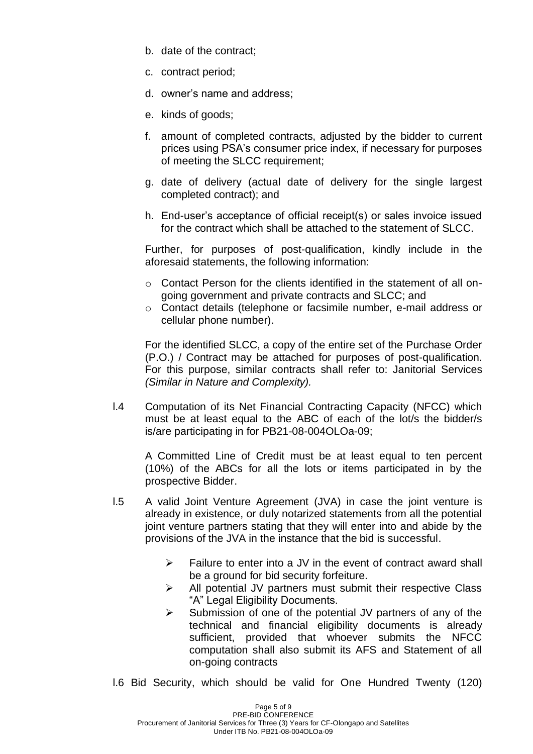- b. date of the contract;
- c. contract period;
- d. owner's name and address;
- e. kinds of goods;
- f. amount of completed contracts, adjusted by the bidder to current prices using PSA's consumer price index, if necessary for purposes of meeting the SLCC requirement;
- g. date of delivery (actual date of delivery for the single largest completed contract); and
- h. End-user's acceptance of official receipt(s) or sales invoice issued for the contract which shall be attached to the statement of SLCC.

Further, for purposes of post-qualification, kindly include in the aforesaid statements, the following information:

- $\circ$  Contact Person for the clients identified in the statement of all ongoing government and private contracts and SLCC; and
- o Contact details (telephone or facsimile number, e-mail address or cellular phone number).

For the identified SLCC, a copy of the entire set of the Purchase Order (P.O.) / Contract may be attached for purposes of post-qualification. For this purpose, similar contracts shall refer to: Janitorial Services *(Similar in Nature and Complexity).*

l.4 Computation of its Net Financial Contracting Capacity (NFCC) which must be at least equal to the ABC of each of the lot/s the bidder/s is/are participating in for PB21-08-004OLOa-09;

A Committed Line of Credit must be at least equal to ten percent (10%) of the ABCs for all the lots or items participated in by the prospective Bidder.

- l.5 A valid Joint Venture Agreement (JVA) in case the joint venture is already in existence, or duly notarized statements from all the potential joint venture partners stating that they will enter into and abide by the provisions of the JVA in the instance that the bid is successful.
	- $\triangleright$  Failure to enter into a JV in the event of contract award shall be a ground for bid security forfeiture.
	- ➢ All potential JV partners must submit their respective Class "A" Legal Eligibility Documents.
	- ➢ Submission of one of the potential JV partners of any of the technical and financial eligibility documents is already sufficient, provided that whoever submits the NFCC computation shall also submit its AFS and Statement of all on-going contracts
- l.6 Bid Security, which should be valid for One Hundred Twenty (120)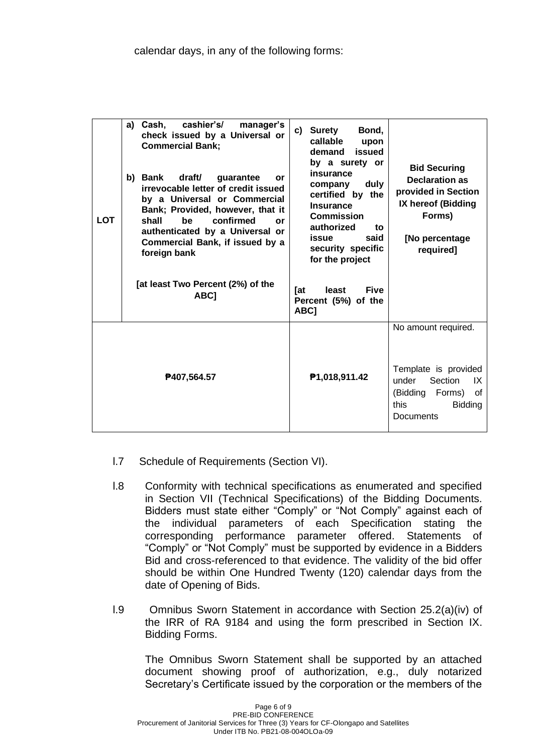| <b>LOT</b> | a) Cash,<br>cashier's/<br>manager's<br>check issued by a Universal or<br><b>Commercial Bank;</b><br>b) Bank<br>draft/<br>guarantee<br>or<br>irrevocable letter of credit issued<br>by a Universal or Commercial<br>Bank; Provided, however, that it<br>confirmed<br>shall<br>be<br><b>or</b><br>authenticated by a Universal or<br>Commercial Bank, if issued by a<br>foreign bank<br>[at least Two Percent (2%) of the<br>ABC <sub>1</sub> | <b>Surety</b><br>Bond,<br>c)<br>callable<br>upon<br>demand<br>issued<br>by a surety or<br>insurance<br>duly<br>company<br>certified by the<br><b>Insurance</b><br><b>Commission</b><br>authorized<br>to.<br>said<br>issue<br>security specific<br>for the project<br>Tat<br>least<br><b>Five</b><br>Percent (5%) of the<br>ABC <sub>1</sub> | <b>Bid Securing</b><br><b>Declaration as</b><br>provided in Section<br>IX hereof (Bidding<br>Forms)<br>[No percentage<br>required]    |
|------------|---------------------------------------------------------------------------------------------------------------------------------------------------------------------------------------------------------------------------------------------------------------------------------------------------------------------------------------------------------------------------------------------------------------------------------------------|---------------------------------------------------------------------------------------------------------------------------------------------------------------------------------------------------------------------------------------------------------------------------------------------------------------------------------------------|---------------------------------------------------------------------------------------------------------------------------------------|
|            | ₱407,564.57                                                                                                                                                                                                                                                                                                                                                                                                                                 | P1,018,911.42                                                                                                                                                                                                                                                                                                                               | No amount required.<br>Template is provided<br>Section<br>under<br>IX<br>(Bidding Forms)<br>0f<br>this<br><b>Bidding</b><br>Documents |

- l.7 Schedule of Requirements (Section VI).
- l.8 Conformity with technical specifications as enumerated and specified in Section VII (Technical Specifications) of the Bidding Documents. Bidders must state either "Comply" or "Not Comply" against each of the individual parameters of each Specification stating the corresponding performance parameter offered. Statements of "Comply" or "Not Comply" must be supported by evidence in a Bidders Bid and cross-referenced to that evidence. The validity of the bid offer should be within One Hundred Twenty (120) calendar days from the date of Opening of Bids.
- l.9 Omnibus Sworn Statement in accordance with Section 25.2(a)(iv) of the IRR of RA 9184 and using the form prescribed in Section IX. Bidding Forms.

The Omnibus Sworn Statement shall be supported by an attached document showing proof of authorization, e.g., duly notarized Secretary's Certificate issued by the corporation or the members of the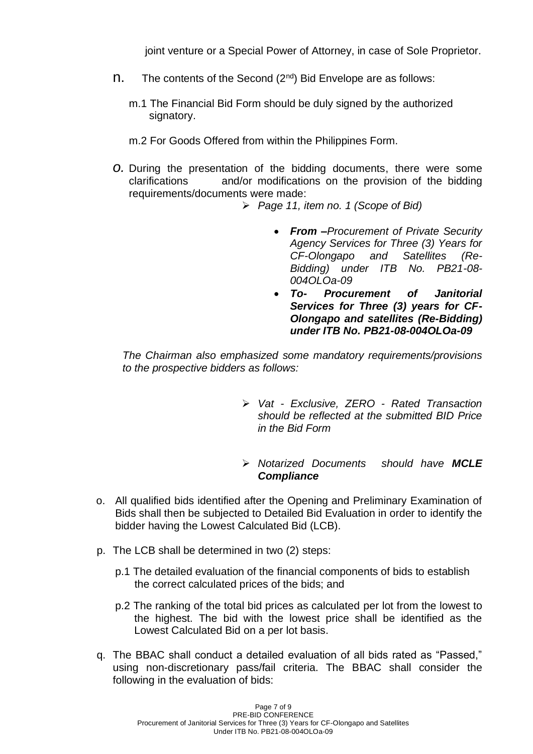joint venture or a Special Power of Attorney, in case of Sole Proprietor.

- $n.$  The contents of the Second ( $2^{nd}$ ) Bid Envelope are as follows:
	- m.1 The Financial Bid Form should be duly signed by the authorized signatory.
	- m.2 For Goods Offered from within the Philippines Form.
- *o.* During the presentation of the bidding documents, there were some clarifications and/or modifications on the provision of the bidding requirements/documents were made:
	- ➢ *Page 11, item no. 1 (Scope of Bid)*
		- *From –Procurement of Private Security Agency Services for Three (3) Years for CF-Olongapo and Satellites (Re-Bidding) under ITB No. PB21-08- 004OLOa-09*
		- *To- Procurement of Janitorial Services for Three (3) years for CF-Olongapo and satellites (Re-Bidding) under ITB No. PB21-08-004OLOa-09*

*The Chairman also emphasized some mandatory requirements/provisions to the prospective bidders as follows:*

- ➢ *Vat - Exclusive, ZERO - Rated Transaction should be reflected at the submitted BID Price in the Bid Form*
- ➢ *Notarized Documents should have MCLE Compliance*
- o. All qualified bids identified after the Opening and Preliminary Examination of Bids shall then be subjected to Detailed Bid Evaluation in order to identify the bidder having the Lowest Calculated Bid (LCB).
- p. The LCB shall be determined in two (2) steps:
	- p.1 The detailed evaluation of the financial components of bids to establish the correct calculated prices of the bids; and
	- p.2 The ranking of the total bid prices as calculated per lot from the lowest to the highest. The bid with the lowest price shall be identified as the Lowest Calculated Bid on a per lot basis.
- q. The BBAC shall conduct a detailed evaluation of all bids rated as "Passed," using non-discretionary pass/fail criteria. The BBAC shall consider the following in the evaluation of bids: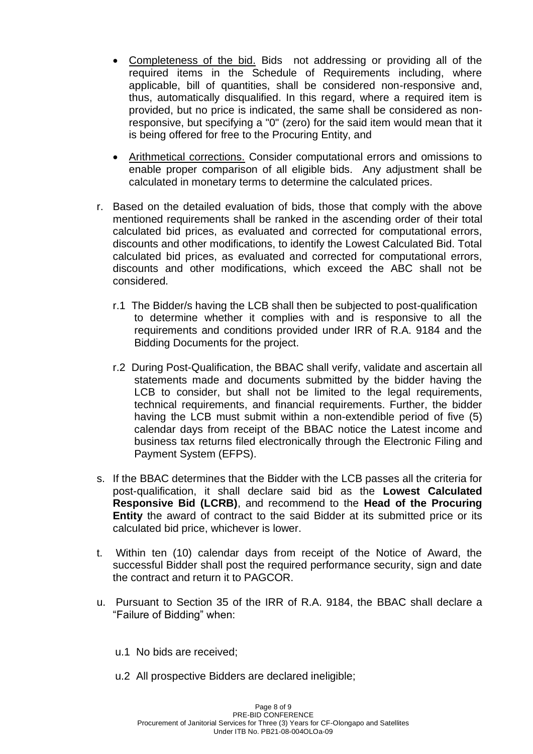- Completeness of the bid. Bids not addressing or providing all of the required items in the Schedule of Requirements including, where applicable, bill of quantities, shall be considered non-responsive and, thus, automatically disqualified. In this regard, where a required item is provided, but no price is indicated, the same shall be considered as nonresponsive, but specifying a "0" (zero) for the said item would mean that it is being offered for free to the Procuring Entity, and
- Arithmetical corrections. Consider computational errors and omissions to enable proper comparison of all eligible bids. Any adjustment shall be calculated in monetary terms to determine the calculated prices.
- r. Based on the detailed evaluation of bids, those that comply with the above mentioned requirements shall be ranked in the ascending order of their total calculated bid prices, as evaluated and corrected for computational errors, discounts and other modifications, to identify the Lowest Calculated Bid. Total calculated bid prices, as evaluated and corrected for computational errors, discounts and other modifications, which exceed the ABC shall not be considered.
	- r.1 The Bidder/s having the LCB shall then be subjected to post-qualification to determine whether it complies with and is responsive to all the requirements and conditions provided under IRR of R.A. 9184 and the Bidding Documents for the project.
	- r.2 During Post-Qualification, the BBAC shall verify, validate and ascertain all statements made and documents submitted by the bidder having the LCB to consider, but shall not be limited to the legal requirements, technical requirements, and financial requirements. Further, the bidder having the LCB must submit within a non-extendible period of five (5) calendar days from receipt of the BBAC notice the Latest income and business tax returns filed electronically through the Electronic Filing and Payment System (EFPS).
- s. If the BBAC determines that the Bidder with the LCB passes all the criteria for post-qualification, it shall declare said bid as the **Lowest Calculated Responsive Bid (LCRB)**, and recommend to the **Head of the Procuring Entity** the award of contract to the said Bidder at its submitted price or its calculated bid price, whichever is lower.
- t. Within ten (10) calendar days from receipt of the Notice of Award, the successful Bidder shall post the required performance security, sign and date the contract and return it to PAGCOR.
- u. Pursuant to Section 35 of the IRR of R.A. 9184, the BBAC shall declare a "Failure of Bidding" when:
	- u.1 No bids are received;
	- u.2 All prospective Bidders are declared ineligible;